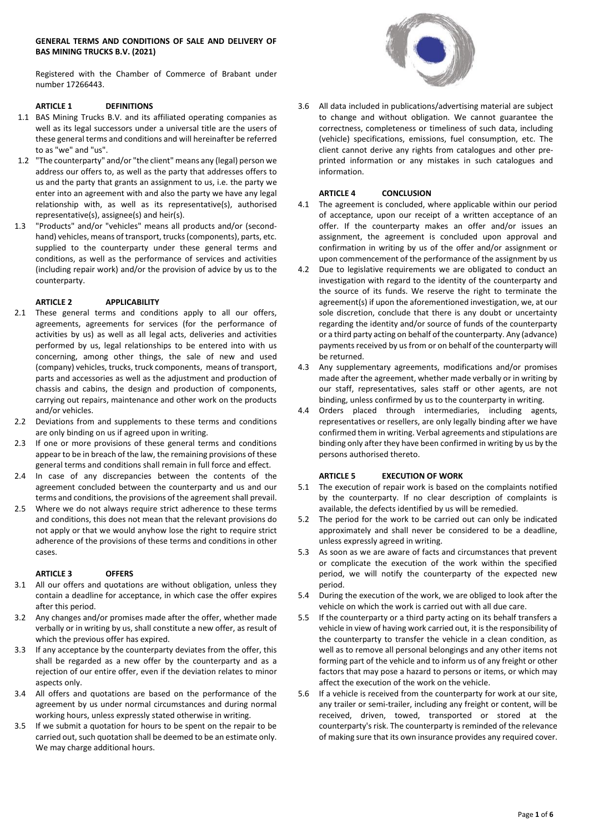## **GENERAL TERMS AND CONDITIONS OF SALE AND DELIVERY OF BAS MINING TRUCKS B.V. (2021)**

Registered with the Chamber of Commerce of Brabant under number 17266443.

# **ARTICLE 1 DEFINITIONS**

- 1.1 BAS Mining Trucks B.V. and its affiliated operating companies as well as its legal successors under a universal title are the users of these general terms and conditions and will hereinafter be referred to as "we" and "us".
- 1.2 "The counterparty" and/or "the client" means any (legal) person we address our offers to, as well as the party that addresses offers to us and the party that grants an assignment to us, i.e. the party we enter into an agreement with and also the party we have any legal relationship with, as well as its representative(s), authorised representative(s), assignee(s) and heir(s).
- 1.3 "Products" and/or "vehicles" means all products and/or (secondhand) vehicles, means of transport, trucks (components), parts, etc. supplied to the counterparty under these general terms and conditions, as well as the performance of services and activities (including repair work) and/or the provision of advice by us to the counterparty.

## **ARTICLE 2 APPLICABILITY**

- 2.1 These general terms and conditions apply to all our offers, agreements, agreements for services (for the performance of activities by us) as well as all legal acts, deliveries and activities performed by us, legal relationships to be entered into with us concerning, among other things, the sale of new and used (company) vehicles, trucks, truck components, means of transport, parts and accessories as well as the adjustment and production of chassis and cabins, the design and production of components, carrying out repairs, maintenance and other work on the products and/or vehicles.
- 2.2 Deviations from and supplements to these terms and conditions are only binding on us if agreed upon in writing.
- 2.3 If one or more provisions of these general terms and conditions appear to be in breach of the law, the remaining provisions of these general terms and conditions shall remain in full force and effect.
- 2.4 In case of any discrepancies between the contents of the agreement concluded between the counterparty and us and our terms and conditions, the provisions of the agreement shall prevail.
- 2.5 Where we do not always require strict adherence to these terms and conditions, this does not mean that the relevant provisions do not apply or that we would anyhow lose the right to require strict adherence of the provisions of these terms and conditions in other cases.

#### **ARTICLE 3 OFFERS**

- 3.1 All our offers and quotations are without obligation, unless they contain a deadline for acceptance, in which case the offer expires after this period.
- 3.2 Any changes and/or promises made after the offer, whether made verbally or in writing by us, shall constitute a new offer, as result of which the previous offer has expired.
- 3.3 If any acceptance by the counterparty deviates from the offer, this shall be regarded as a new offer by the counterparty and as a rejection of our entire offer, even if the deviation relates to minor aspects only.
- 3.4 All offers and quotations are based on the performance of the agreement by us under normal circumstances and during normal working hours, unless expressly stated otherwise in writing.
- 3.5 If we submit a quotation for hours to be spent on the repair to be carried out, such quotation shall be deemed to be an estimate only. We may charge additional hours.



3.6 All data included in publications/advertising material are subject to change and without obligation. We cannot guarantee the correctness, completeness or timeliness of such data, including (vehicle) specifications, emissions, fuel consumption, etc. The client cannot derive any rights from catalogues and other preprinted information or any mistakes in such catalogues and information.

#### **ARTICLE 4 CONCLUSION**

- 4.1 The agreement is concluded, where applicable within our period of acceptance, upon our receipt of a written acceptance of an offer. If the counterparty makes an offer and/or issues an assignment, the agreement is concluded upon approval and confirmation in writing by us of the offer and/or assignment or upon commencement of the performance of the assignment by us
- Due to legislative requirements we are obligated to conduct an investigation with regard to the identity of the counterparty and the source of its funds. We reserve the right to terminate the agreement(s) if upon the aforementioned investigation, we, at our sole discretion, conclude that there is any doubt or uncertainty regarding the identity and/or source of funds of the counterparty or a third party acting on behalf of the counterparty. Any (advance) payments received by us from or on behalf of the counterparty will be returned.
- 4.3 Any supplementary agreements, modifications and/or promises made after the agreement, whether made verbally or in writing by our staff, representatives, sales staff or other agents, are not binding, unless confirmed by us to the counterparty in writing.
- 4.4 Orders placed through intermediaries, including agents, representatives or resellers, are only legally binding after we have confirmed them in writing. Verbal agreements and stipulations are binding only after they have been confirmed in writing by us by the persons authorised thereto.

## **ARTICLE 5 EXECUTION OF WORK**

- 5.1 The execution of repair work is based on the complaints notified by the counterparty. If no clear description of complaints is available, the defects identified by us will be remedied.
- 5.2 The period for the work to be carried out can only be indicated approximately and shall never be considered to be a deadline, unless expressly agreed in writing.
- 5.3 As soon as we are aware of facts and circumstances that prevent or complicate the execution of the work within the specified period, we will notify the counterparty of the expected new period.
- 5.4 During the execution of the work, we are obliged to look after the vehicle on which the work is carried out with all due care.
- 5.5 If the counterparty or a third party acting on its behalf transfers a vehicle in view of having work carried out, it is the responsibility of the counterparty to transfer the vehicle in a clean condition, as well as to remove all personal belongings and any other items not forming part of the vehicle and to inform us of any freight or other factors that may pose a hazard to persons or items, or which may affect the execution of the work on the vehicle.
- 5.6 If a vehicle is received from the counterparty for work at our site, any trailer or semi-trailer, including any freight or content, will be received, driven, towed, transported or stored at the counterparty's risk. The counterparty is reminded of the relevance of making sure that its own insurance provides any required cover.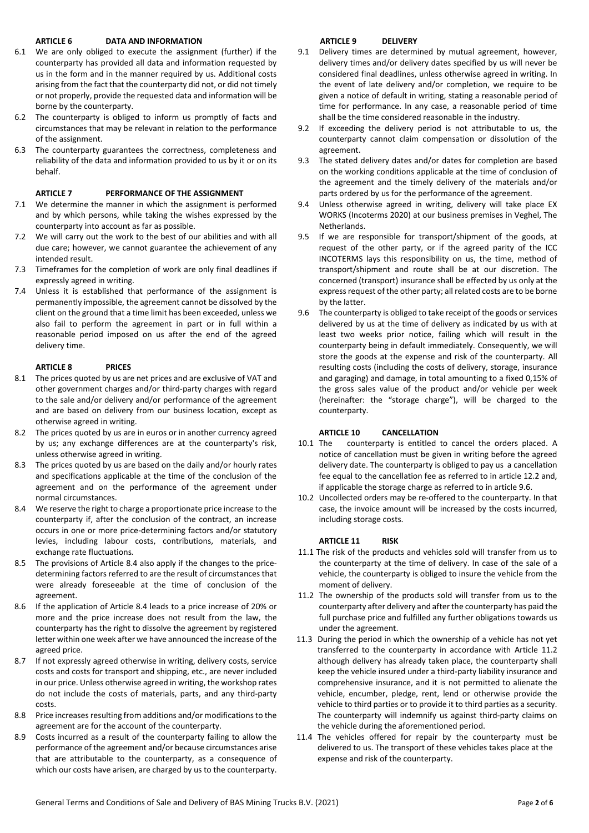## **ARTICLE 6 DATA AND INFORMATION**

- 6.1 We are only obliged to execute the assignment (further) if the counterparty has provided all data and information requested by us in the form and in the manner required by us. Additional costs arising from the fact that the counterparty did not, or did not timely or not properly, provide the requested data and information will be borne by the counterparty.
- 6.2 The counterparty is obliged to inform us promptly of facts and circumstances that may be relevant in relation to the performance of the assignment.
- 6.3 The counterparty guarantees the correctness, completeness and reliability of the data and information provided to us by it or on its behalf.

# **ARTICLE 7 PERFORMANCE OF THE ASSIGNMENT**

- 7.1 We determine the manner in which the assignment is performed and by which persons, while taking the wishes expressed by the counterparty into account as far as possible.
- 7.2 We will carry out the work to the best of our abilities and with all due care; however, we cannot guarantee the achievement of any intended result.
- 7.3 Timeframes for the completion of work are only final deadlines if expressly agreed in writing.
- 7.4 Unless it is established that performance of the assignment is permanently impossible, the agreement cannot be dissolved by the client on the ground that a time limit has been exceeded, unless we also fail to perform the agreement in part or in full within a reasonable period imposed on us after the end of the agreed delivery time.

# **ARTICLE 8 PRICES**

- 8.1 The prices quoted by us are net prices and are exclusive of VAT and other government charges and/or third-party charges with regard to the sale and/or delivery and/or performance of the agreement and are based on delivery from our business location, except as otherwise agreed in writing.
- 8.2 The prices quoted by us are in euros or in another currency agreed by us; any exchange differences are at the counterparty's risk, unless otherwise agreed in writing.
- 8.3 The prices quoted by us are based on the daily and/or hourly rates and specifications applicable at the time of the conclusion of the agreement and on the performance of the agreement under normal circumstances.
- 8.4 We reserve the right to charge a proportionate price increase to the counterparty if, after the conclusion of the contract, an increase occurs in one or more price-determining factors and/or statutory levies, including labour costs, contributions, materials, and exchange rate fluctuations*.*
- 8.5 The provisions of Article 8.4 also apply if the changes to the pricedetermining factors referred to are the result of circumstances that were already foreseeable at the time of conclusion of the agreement.
- 8.6 If the application of Article 8.4 leads to a price increase of 20% or more and the price increase does not result from the law, the counterparty has the right to dissolve the agreement by registered letter within one week after we have announced the increase of the agreed price.
- 8.7 If not expressly agreed otherwise in writing, delivery costs, service costs and costs for transport and shipping, etc., are never included in our price. Unless otherwise agreed in writing, the workshop rates do not include the costs of materials, parts, and any third-party costs.
- 8.8 Price increases resulting from additions and/or modifications to the agreement are for the account of the counterparty.
- 8.9 Costs incurred as a result of the counterparty failing to allow the performance of the agreement and/or because circumstances arise that are attributable to the counterparty, as a consequence of which our costs have arisen, are charged by us to the counterparty.

# **ARTICLE 9 DELIVERY**

- 9.1 Delivery times are determined by mutual agreement, however, delivery times and/or delivery dates specified by us will never be considered final deadlines, unless otherwise agreed in writing. In the event of late delivery and/or completion, we require to be given a notice of default in writing, stating a reasonable period of time for performance. In any case, a reasonable period of time shall be the time considered reasonable in the industry.
- 9.2 If exceeding the delivery period is not attributable to us, the counterparty cannot claim compensation or dissolution of the agreement.
- 9.3 The stated delivery dates and/or dates for completion are based on the working conditions applicable at the time of conclusion of the agreement and the timely delivery of the materials and/or parts ordered by us for the performance of the agreement.
- 9.4 Unless otherwise agreed in writing, delivery will take place EX WORKS (Incoterms 2020) at our business premises in Veghel, The **Netherlands**
- 9.5 If we are responsible for transport/shipment of the goods, at request of the other party, or if the agreed parity of the ICC INCOTERMS lays this responsibility on us, the time, method of transport/shipment and route shall be at our discretion. The concerned (transport) insurance shall be effected by us only at the express request of the other party; all related costs are to be borne by the latter.
- 9.6 The counterparty is obliged to take receipt of the goods or services delivered by us at the time of delivery as indicated by us with at least two weeks prior notice, failing which will result in the counterparty being in default immediately. Consequently, we will store the goods at the expense and risk of the counterparty. All resulting costs (including the costs of delivery, storage, insurance and garaging) and damage, in total amounting to a fixed 0,15% of the gross sales value of the product and/or vehicle per week (hereinafter: the "storage charge"), will be charged to the counterparty.

# **ARTICLE 10 CANCELLATION**

- 10.1 The counterparty is entitled to cancel the orders placed. A notice of cancellation must be given in writing before the agreed delivery date. The counterparty is obliged to pay us a cancellation fee equal to the cancellation fee as referred to in article 12.2 and, if applicable the storage charge as referred to in article 9.6.
- 10.2 Uncollected orders may be re-offered to the counterparty. In that case, the invoice amount will be increased by the costs incurred, including storage costs.

# **ARTICLE 11 RISK**

- 11.1 The risk of the products and vehicles sold will transfer from us to the counterparty at the time of delivery. In case of the sale of a vehicle, the counterparty is obliged to insure the vehicle from the moment of delivery.
- 11.2 The ownership of the products sold will transfer from us to the counterparty after delivery and after the counterparty has paid the full purchase price and fulfilled any further obligations towards us under the agreement.
- 11.3 During the period in which the ownership of a vehicle has not yet transferred to the counterparty in accordance with Article 11.2 although delivery has already taken place, the counterparty shall keep the vehicle insured under a third-party liability insurance and comprehensive insurance, and it is not permitted to alienate the vehicle, encumber, pledge, rent, lend or otherwise provide the vehicle to third parties or to provide it to third parties as a security. The counterparty will indemnify us against third-party claims on the vehicle during the aforementioned period.
- 11.4 The vehicles offered for repair by the counterparty must be delivered to us. The transport of these vehicles takes place at the expense and risk of the counterparty.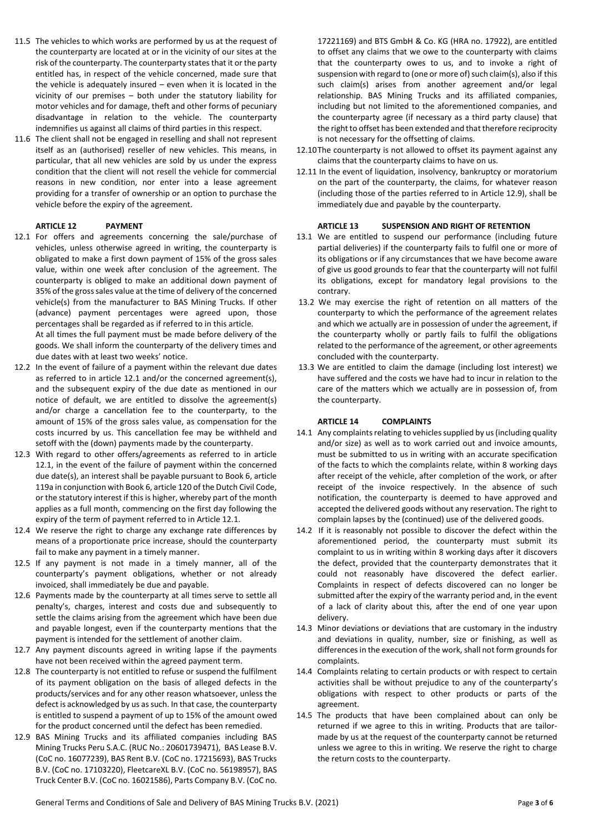- 11.5 The vehicles to which works are performed by us at the request of the counterparty are located at or in the vicinity of our sites at the risk of the counterparty. The counterparty states that it or the party entitled has, in respect of the vehicle concerned, made sure that the vehicle is adequately insured – even when it is located in the vicinity of our premises – both under the statutory liability for motor vehicles and for damage, theft and other forms of pecuniary disadvantage in relation to the vehicle. The counterparty indemnifies us against all claims of third parties in this respect.
- 11.6 The client shall not be engaged in reselling and shall not represent itself as an (authorised) reseller of new vehicles. This means, in particular, that all new vehicles are sold by us under the express condition that the client will not resell the vehicle for commercial reasons in new condition, nor enter into a lease agreement providing for a transfer of ownership or an option to purchase the vehicle before the expiry of the agreement.

#### **ARTICLE 12 PAYMENT**

12.1 For offers and agreements concerning the sale/purchase of vehicles, unless otherwise agreed in writing, the counterparty is obligated to make a first down payment of 15% of the gross sales value, within one week after conclusion of the agreement. The counterparty is obliged to make an additional down payment of 35% of the gross sales value at the time of delivery of the concerned vehicle(s) from the manufacturer to BAS Mining Trucks. If other (advance) payment percentages were agreed upon, those percentages shall be regarded as if referred to in this article. At all times the full payment must be made before delivery of the

goods. We shall inform the counterparty of the delivery times and due dates with at least two weeks' notice.

- 12.2 In the event of failure of a payment within the relevant due dates as referred to in article 12.1 and/or the concerned agreement(s), and the subsequent expiry of the due date as mentioned in our notice of default, we are entitled to dissolve the agreement(s) and/or charge a cancellation fee to the counterparty, to the amount of 15% of the gross sales value, as compensation for the costs incurred by us. This cancellation fee may be withheld and setoff with the (down) payments made by the counterparty.
- 12.3 With regard to other offers/agreements as referred to in article 12.1, in the event of the failure of payment within the concerned due date(s), an interest shall be payable pursuant to Book 6, article 119a in conjunction with Book 6, article 120 of the Dutch Civil Code, or the statutory interest if this is higher, whereby part of the month applies as a full month, commencing on the first day following the expiry of the term of payment referred to in Article 12.1.
- 12.4 We reserve the right to charge any exchange rate differences by means of a proportionate price increase, should the counterparty fail to make any payment in a timely manner.
- 12.5 If any payment is not made in a timely manner, all of the counterparty's payment obligations, whether or not already invoiced, shall immediately be due and payable.
- 12.6 Payments made by the counterparty at all times serve to settle all penalty's, charges, interest and costs due and subsequently to settle the claims arising from the agreement which have been due and payable longest, even if the counterparty mentions that the payment is intended for the settlement of another claim.
- 12.7 Any payment discounts agreed in writing lapse if the payments have not been received within the agreed payment term.
- 12.8 The counterparty is not entitled to refuse or suspend the fulfilment of its payment obligation on the basis of alleged defects in the products/services and for any other reason whatsoever, unless the defect is acknowledged by us as such. In that case, the counterparty is entitled to suspend a payment of up to 15% of the amount owed for the product concerned until the defect has been remedied.
- 12.9 BAS Mining Trucks and its affiliated companies including BAS Mining Trucks Peru S.A.C. (RUC No.: 20601739471), BAS Lease B.V. (CoC no. 16077239), BAS Rent B.V. (CoC no. 17215693), BAS Trucks B.V. (CoC no. 17103220), FleetcareXL B.V. (CoC no. 56198957), BAS Truck Center B.V. (CoC no. 16021586), Parts Company B.V. (CoC no.

17221169) and BTS GmbH & Co. KG (HRA no. 17922), are entitled to offset any claims that we owe to the counterparty with claims that the counterparty owes to us, and to invoke a right of suspension with regard to (one or more of) such claim(s), also if this such claim(s) arises from another agreement and/or legal relationship. BAS Mining Trucks and its affiliated companies, including but not limited to the aforementioned companies, and the counterparty agree (if necessary as a third party clause) that the right to offset has been extended and that therefore reciprocity is not necessary for the offsetting of claims.

- 12.10The counterparty is not allowed to offset its payment against any claims that the counterparty claims to have on us.
- 12.11 In the event of liquidation, insolvency, bankruptcy or moratorium on the part of the counterparty, the claims, for whatever reason (including those of the parties referred to in Article 12.9), shall be immediately due and payable by the counterparty.

#### **ARTICLE 13 SUSPENSION AND RIGHT OF RETENTION**

- 13.1 We are entitled to suspend our performance (including future partial deliveries) if the counterparty fails to fulfil one or more of its obligations or if any circumstances that we have become aware of give us good grounds to fear that the counterparty will not fulfil its obligations, except for mandatory legal provisions to the contrary.
- 13.2 We may exercise the right of retention on all matters of the counterparty to which the performance of the agreement relates and which we actually are in possession of under the agreement, if the counterparty wholly or partly fails to fulfil the obligations related to the performance of the agreement, or other agreements concluded with the counterparty.
- 13.3 We are entitled to claim the damage (including lost interest) we have suffered and the costs we have had to incur in relation to the care of the matters which we actually are in possession of, from the counterparty.

#### **ARTICLE 14 COMPLAINTS**

- 14.1 Any complaints relating to vehicles supplied by us (including quality and/or size) as well as to work carried out and invoice amounts, must be submitted to us in writing with an accurate specification of the facts to which the complaints relate, within 8 working days after receipt of the vehicle, after completion of the work, or after receipt of the invoice respectively. In the absence of such notification, the counterparty is deemed to have approved and accepted the delivered goods without any reservation. The right to complain lapses by the (continued) use of the delivered goods.
- 14.2 If it is reasonably not possible to discover the defect within the aforementioned period, the counterparty must submit its complaint to us in writing within 8 working days after it discovers the defect, provided that the counterparty demonstrates that it could not reasonably have discovered the defect earlier. Complaints in respect of defects discovered can no longer be submitted after the expiry of the warranty period and, in the event of a lack of clarity about this, after the end of one year upon delivery.
- 14.3 Minor deviations or deviations that are customary in the industry and deviations in quality, number, size or finishing, as well as differences in the execution of the work, shall not form grounds for complaints.
- 14.4 Complaints relating to certain products or with respect to certain activities shall be without prejudice to any of the counterparty's obligations with respect to other products or parts of the agreement.
- 14.5 The products that have been complained about can only be returned if we agree to this in writing. Products that are tailormade by us at the request of the counterparty cannot be returned unless we agree to this in writing. We reserve the right to charge the return costs to the counterparty.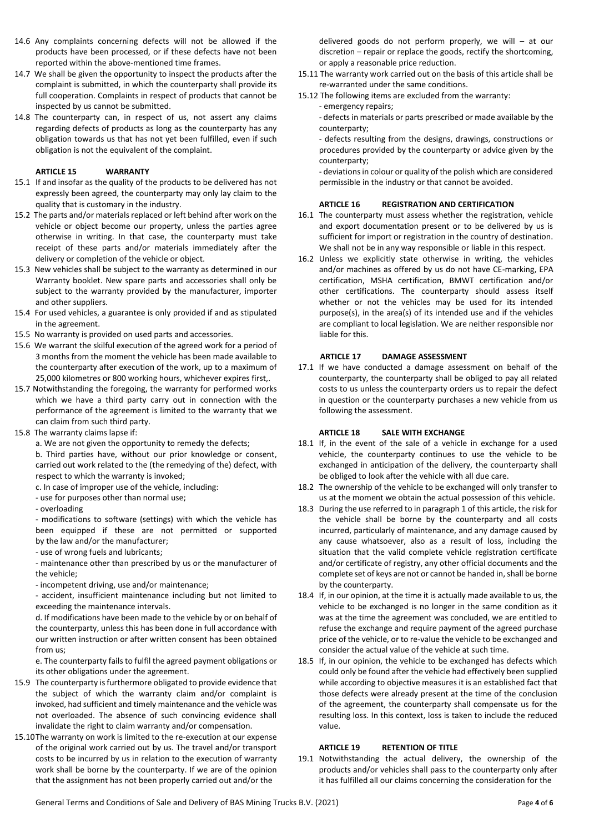- 14.6 Any complaints concerning defects will not be allowed if the products have been processed, or if these defects have not been reported within the above-mentioned time frames.
- 14.7 We shall be given the opportunity to inspect the products after the complaint is submitted, in which the counterparty shall provide its full cooperation. Complaints in respect of products that cannot be inspected by us cannot be submitted.
- 14.8 The counterparty can, in respect of us, not assert any claims regarding defects of products as long as the counterparty has any obligation towards us that has not yet been fulfilled, even if such obligation is not the equivalent of the complaint.

## **ARTICLE 15 WARRANTY**

- 15.1 If and insofar as the quality of the products to be delivered has not expressly been agreed, the counterparty may only lay claim to the quality that is customary in the industry.
- 15.2 The parts and/or materials replaced or left behind after work on the vehicle or object become our property, unless the parties agree otherwise in writing. In that case, the counterparty must take receipt of these parts and/or materials immediately after the delivery or completion of the vehicle or object.
- 15.3 New vehicles shall be subject to the warranty as determined in our Warranty booklet. New spare parts and accessories shall only be subject to the warranty provided by the manufacturer, importer and other suppliers.
- 15.4 For used vehicles, a guarantee is only provided if and as stipulated in the agreement.
- 15.5 No warranty is provided on used parts and accessories.
- 15.6 We warrant the skilful execution of the agreed work for a period of 3 months from the moment the vehicle has been made available to the counterparty after execution of the work, up to a maximum of 25,000 kilometres or 800 working hours, whichever expires first,.
- 15.7 Notwithstanding the foregoing, the warranty for performed works which we have a third party carry out in connection with the performance of the agreement is limited to the warranty that we can claim from such third party.
- 15.8 The warranty claims lapse if:
	- a. We are not given the opportunity to remedy the defects;

b. Third parties have, without our prior knowledge or consent, carried out work related to the (the remedying of the) defect, with respect to which the warranty is invoked;

- c. In case of improper use of the vehicle, including:
- use for purposes other than normal use;
- overloading

- modifications to software (settings) with which the vehicle has been equipped if these are not permitted or supported by the law and/or the manufacturer;

- use of wrong fuels and lubricants;

- maintenance other than prescribed by us or the manufacturer of the vehicle;

- incompetent driving, use and/or maintenance;

- accident, insufficient maintenance including but not limited to exceeding the maintenance intervals.

d. If modifications have been made to the vehicle by or on behalf of the counterparty, unless this has been done in full accordance with our written instruction or after written consent has been obtained from us;

e. The counterparty fails to fulfil the agreed payment obligations or its other obligations under the agreement.

- 15.9 The counterparty is furthermore obligated to provide evidence that the subject of which the warranty claim and/or complaint is invoked, had sufficient and timely maintenance and the vehicle was not overloaded. The absence of such convincing evidence shall invalidate the right to claim warranty and/or compensation.
- 15.10The warranty on work is limited to the re-execution at our expense of the original work carried out by us. The travel and/or transport costs to be incurred by us in relation to the execution of warranty work shall be borne by the counterparty. If we are of the opinion that the assignment has not been properly carried out and/or the

delivered goods do not perform properly, we will – at our discretion – repair or replace the goods, rectify the shortcoming, or apply a reasonable price reduction.

- 15.11 The warranty work carried out on the basis of this article shall be re-warranted under the same conditions.
- 15.12 The following items are excluded from the warranty:
	- emergency repairs;

- defects in materials or parts prescribed or made available by the counterparty;

- defects resulting from the designs, drawings, constructions or procedures provided by the counterparty or advice given by the counterparty;

- deviations in colour or quality of the polish which are considered permissible in the industry or that cannot be avoided.

# **ARTICLE 16 REGISTRATION AND CERTIFICATION**

- 16.1 The counterparty must assess whether the registration, vehicle and export documentation present or to be delivered by us is sufficient for import or registration in the country of destination. We shall not be in any way responsible or liable in this respect.
- 16.2 Unless we explicitly state otherwise in writing, the vehicles and/or machines as offered by us do not have CE-marking, EPA certification, MSHA certification, BMWT certification and/or other certifications. The counterparty should assess itself whether or not the vehicles may be used for its intended purpose(s), in the area(s) of its intended use and if the vehicles are compliant to local legislation. We are neither responsible nor liable for this.

#### **ARTICLE 17 DAMAGE ASSESSMENT**

17.1 If we have conducted a damage assessment on behalf of the counterparty, the counterparty shall be obliged to pay all related costs to us unless the counterparty orders us to repair the defect in question or the counterparty purchases a new vehicle from us following the assessment.

### **ARTICLE 18 SALE WITH EXCHANGE**

- 18.1 If, in the event of the sale of a vehicle in exchange for a used vehicle, the counterparty continues to use the vehicle to be exchanged in anticipation of the delivery, the counterparty shall be obliged to look after the vehicle with all due care.
- 18.2 The ownership of the vehicle to be exchanged will only transfer to us at the moment we obtain the actual possession of this vehicle.
- 18.3 During the use referred to in paragraph 1 of this article, the risk for the vehicle shall be borne by the counterparty and all costs incurred, particularly of maintenance, and any damage caused by any cause whatsoever, also as a result of loss, including the situation that the valid complete vehicle registration certificate and/or certificate of registry, any other official documents and the complete set of keys are not or cannot be handed in, shall be borne by the counterparty.
- 18.4 If, in our opinion, at the time it is actually made available to us, the vehicle to be exchanged is no longer in the same condition as it was at the time the agreement was concluded, we are entitled to refuse the exchange and require payment of the agreed purchase price of the vehicle, or to re-value the vehicle to be exchanged and consider the actual value of the vehicle at such time.
- 18.5 If, in our opinion, the vehicle to be exchanged has defects which could only be found after the vehicle had effectively been supplied while according to objective measures it is an established fact that those defects were already present at the time of the conclusion of the agreement, the counterparty shall compensate us for the resulting loss. In this context, loss is taken to include the reduced value.

### **ARTICLE 19 RETENTION OF TITLE**

19.1 Notwithstanding the actual delivery, the ownership of the products and/or vehicles shall pass to the counterparty only after it has fulfilled all our claims concerning the consideration for the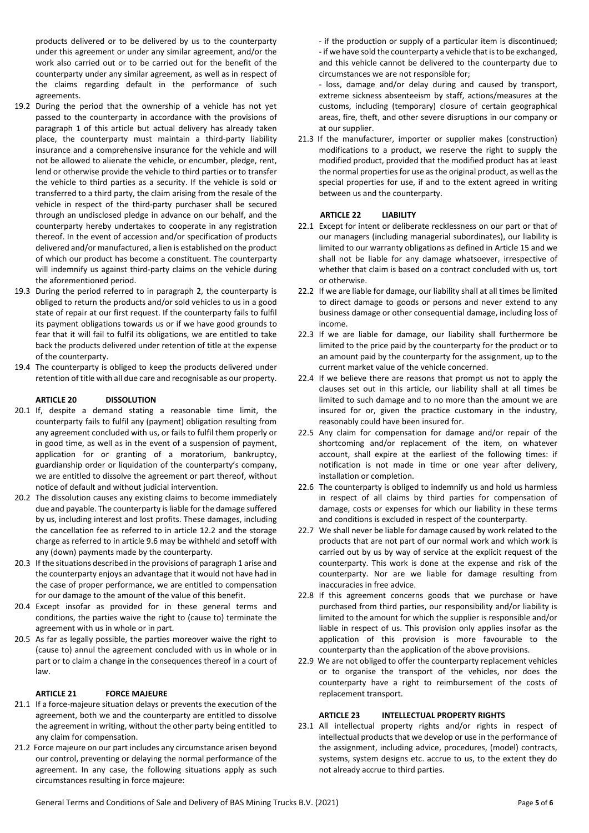products delivered or to be delivered by us to the counterparty under this agreement or under any similar agreement, and/or the work also carried out or to be carried out for the benefit of the counterparty under any similar agreement, as well as in respect of the claims regarding default in the performance of such agreements.

- 19.2 During the period that the ownership of a vehicle has not yet passed to the counterparty in accordance with the provisions of paragraph 1 of this article but actual delivery has already taken place, the counterparty must maintain a third-party liability insurance and a comprehensive insurance for the vehicle and will not be allowed to alienate the vehicle, or encumber, pledge, rent, lend or otherwise provide the vehicle to third parties or to transfer the vehicle to third parties as a security. If the vehicle is sold or transferred to a third party, the claim arising from the resale of the vehicle in respect of the third-party purchaser shall be secured through an undisclosed pledge in advance on our behalf, and the counterparty hereby undertakes to cooperate in any registration thereof. In the event of accession and/or specification of products delivered and/or manufactured, a lien is established on the product of which our product has become a constituent. The counterparty will indemnify us against third-party claims on the vehicle during the aforementioned period.
- 19.3 During the period referred to in paragraph 2, the counterparty is obliged to return the products and/or sold vehicles to us in a good state of repair at our first request. If the counterparty fails to fulfil its payment obligations towards us or if we have good grounds to fear that it will fail to fulfil its obligations, we are entitled to take back the products delivered under retention of title at the expense of the counterparty.
- 19.4 The counterparty is obliged to keep the products delivered under retention of title with all due care and recognisable as our property.

## **ARTICLE 20 DISSOLUTION**

- 20.1 If, despite a demand stating a reasonable time limit, the counterparty fails to fulfil any (payment) obligation resulting from any agreement concluded with us, or fails to fulfil them properly or in good time, as well as in the event of a suspension of payment, application for or granting of a moratorium, bankruptcy, guardianship order or liquidation of the counterparty's company, we are entitled to dissolve the agreement or part thereof, without notice of default and without judicial intervention.
- 20.2 The dissolution causes any existing claims to become immediately due and payable. The counterparty is liable for the damage suffered by us, including interest and lost profits. These damages, including the cancellation fee as referred to in article 12.2 and the storage charge as referred to in article 9.6 may be withheld and setoff with any (down) payments made by the counterparty.
- 20.3 If the situations described in the provisions of paragraph 1 arise and the counterparty enjoys an advantage that it would not have had in the case of proper performance, we are entitled to compensation for our damage to the amount of the value of this benefit.
- 20.4 Except insofar as provided for in these general terms and conditions, the parties waive the right to (cause to) terminate the agreement with us in whole or in part.
- 20.5 As far as legally possible, the parties moreover waive the right to (cause to) annul the agreement concluded with us in whole or in part or to claim a change in the consequences thereof in a court of law.

# **ARTICLE 21 FORCE MAJEURE**

- 21.1 If a force-majeure situation delays or prevents the execution of the agreement, both we and the counterparty are entitled to dissolve the agreement in writing, without the other party being entitled to any claim for compensation.
- 21.2 Force majeure on our part includes any circumstance arisen beyond our control, preventing or delaying the normal performance of the agreement. In any case, the following situations apply as such circumstances resulting in force majeure:

- if the production or supply of a particular item is discontinued; - if we have sold the counterparty a vehicle that is to be exchanged, and this vehicle cannot be delivered to the counterparty due to circumstances we are not responsible for;

- loss, damage and/or delay during and caused by transport, extreme sickness absenteeism by staff, actions/measures at the customs, including (temporary) closure of certain geographical areas, fire, theft, and other severe disruptions in our company or at our supplier.

21.3 If the manufacturer, importer or supplier makes (construction) modifications to a product, we reserve the right to supply the modified product, provided that the modified product has at least the normal properties for use as the original product, as well as the special properties for use, if and to the extent agreed in writing between us and the counterparty.

# **ARTICLE 22 LIABILITY**

- 22.1 Except for intent or deliberate recklessness on our part or that of our managers (including managerial subordinates), our liability is limited to our warranty obligations as defined in Article 15 and we shall not be liable for any damage whatsoever, irrespective of whether that claim is based on a contract concluded with us, tort or otherwise.
- 22.2 If we are liable for damage, our liability shall at all times be limited to direct damage to goods or persons and never extend to any business damage or other consequential damage, including loss of income.
- 22.3 If we are liable for damage, our liability shall furthermore be limited to the price paid by the counterparty for the product or to an amount paid by the counterparty for the assignment, up to the current market value of the vehicle concerned.
- 22.4 If we believe there are reasons that prompt us not to apply the clauses set out in this article, our liability shall at all times be limited to such damage and to no more than the amount we are insured for or, given the practice customary in the industry, reasonably could have been insured for.
- 22.5 Any claim for compensation for damage and/or repair of the shortcoming and/or replacement of the item, on whatever account, shall expire at the earliest of the following times: if notification is not made in time or one year after delivery, installation or completion.
- 22.6 The counterparty is obliged to indemnify us and hold us harmless in respect of all claims by third parties for compensation of damage, costs or expenses for which our liability in these terms and conditions is excluded in respect of the counterparty.
- 22.7 We shall never be liable for damage caused by work related to the products that are not part of our normal work and which work is carried out by us by way of service at the explicit request of the counterparty. This work is done at the expense and risk of the counterparty. Nor are we liable for damage resulting from inaccuracies in free advice.
- 22.8 If this agreement concerns goods that we purchase or have purchased from third parties, our responsibility and/or liability is limited to the amount for which the supplier is responsible and/or liable in respect of us. This provision only applies insofar as the application of this provision is more favourable to the counterparty than the application of the above provisions.
- 22.9 We are not obliged to offer the counterparty replacement vehicles or to organise the transport of the vehicles, nor does the counterparty have a right to reimbursement of the costs of replacement transport.

# **ARTICLE 23 INTELLECTUAL PROPERTY RIGHTS**

23.1 All intellectual property rights and/or rights in respect of intellectual products that we develop or use in the performance of the assignment, including advice, procedures, (model) contracts, systems, system designs etc. accrue to us, to the extent they do not already accrue to third parties.